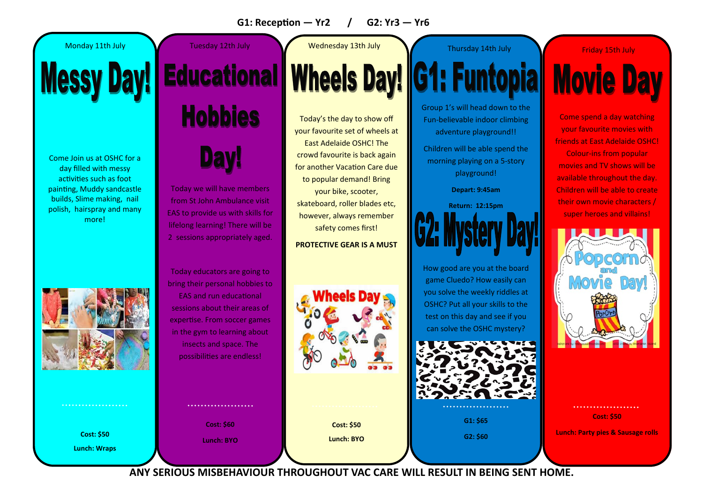#### **G1: Reception — Yr2 / G2: Yr3 — Yr6**

Come Join us at OSHC for a day filled with messy activities such as foot painting, Muddy sandcastle builds, Slime making, nail polish, hairspray and many more!



**Cost: \$50 Lunch: Wraps**

. . . . . . . . . . . . . . . . . .

## **Messy Day! Educational Hobbies**

**Day!** 

Today we will have members from St John Ambulance visit EAS to provide us with skills for lifelong learning! There will be 2 sessions appropriately aged.

Today educators are going to bring their personal hobbies to EAS and run educational sessions about their areas of expertise. From soccer games in the gym to learning about insects and space. The possibilities are endless!

> **Cost: \$60 Lunch: BYO**

. . . . . . . . . . . . . . . . . . .

Today's the day to show off your favourite set of wheels at East Adelaide OSHC! The crowd favourite is back again for another Vacation Care due to popular demand! Bring

your bike, scooter, skateboard, roller blades etc, however, always remember safety comes first!

**PROTECTIVE GEAR IS A MUST**



Monday 11th July Network Tuesday 12th July Nednesday 13th July Network Thursday 14th July Network Friday 15th July

## **Wheels Day! G1: Full Contact Street Street Street Street Street Street Street Street Street Street Street Street Street Street Street Street Street Street Street Street Street Street Street Street Street Street Street Str**

Group 1's will head down to the Fun-believable indoor climbing adventure playground!!

Children will be able spend the morning playing on a 5-story playground!

**Depart: 9:45am** 

**Return: 12:15pm** 

How good are you at the board game Cluedo? How easily can you solve the weekly riddles at OSHC? Put all your skills to the test on this day and see if you can solve the OSHC mystery?



**G1: \$65 G2: \$60**

**Movie Day** 

Come spend a day watching your favourite movies with friends at East Adelaide OSHC! Colour-ins from popular movies and TV shows will be available throughout the day. Children will be able to create their own movie characters /

super heroes and villains!

. . . . . . . . . . . . . . . . . . . **Cost: \$50**

**Lunch: Party pies & Sausage rolls**

**ANY SERIOUS MISBEHAVIOUR THROUGHOUT VAC CARE WILL RESULT IN BEING SENT HOME.**

**Cost: \$50 Lunch: BYO**